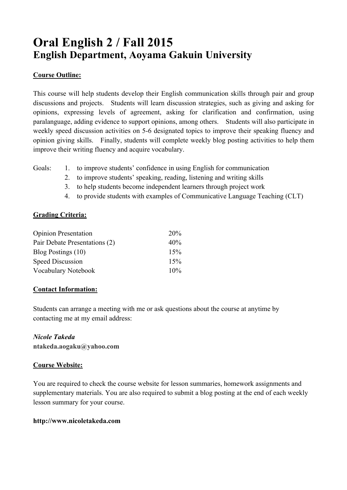# **Oral English 2 / Fall 2015 English Department, Aoyama Gakuin University**

# **Course Outline:**

This course will help students develop their English communication skills through pair and group discussions and projects. Students will learn discussion strategies, such as giving and asking for opinions, expressing levels of agreement, asking for clarification and confirmation, using paralanguage, adding evidence to support opinions, among others. Students will also participate in weekly speed discussion activities on 5-6 designated topics to improve their speaking fluency and opinion giving skills. Finally, students will complete weekly blog posting activities to help them improve their writing fluency and acquire vocabulary.

- Goals: 1. to improve students' confidence in using English for communication
	- 2. to improve students' speaking, reading, listening and writing skills
	- 3. to help students become independent learners through project work
	- 4. to provide students with examples of Communicative Language Teaching (CLT)

### **Grading Criteria:**

| <b>Opinion Presentation</b>   | 20%    |
|-------------------------------|--------|
| Pair Debate Presentations (2) | 40%    |
| Blog Postings (10)            | 15%    |
| <b>Speed Discussion</b>       | 15%    |
| Vocabulary Notebook           | $10\%$ |

# **Contact Information:**

Students can arrange a meeting with me or ask questions about the course at anytime by contacting me at my email address:

### *Nicole Takeda*

**ntakeda.aogaku@yahoo.com**

### **Course Website:**

You are required to check the course website for lesson summaries, homework assignments and supplementary materials. You are also required to submit a blog posting at the end of each weekly lesson summary for your course.

### **http://www.nicoletakeda.com**